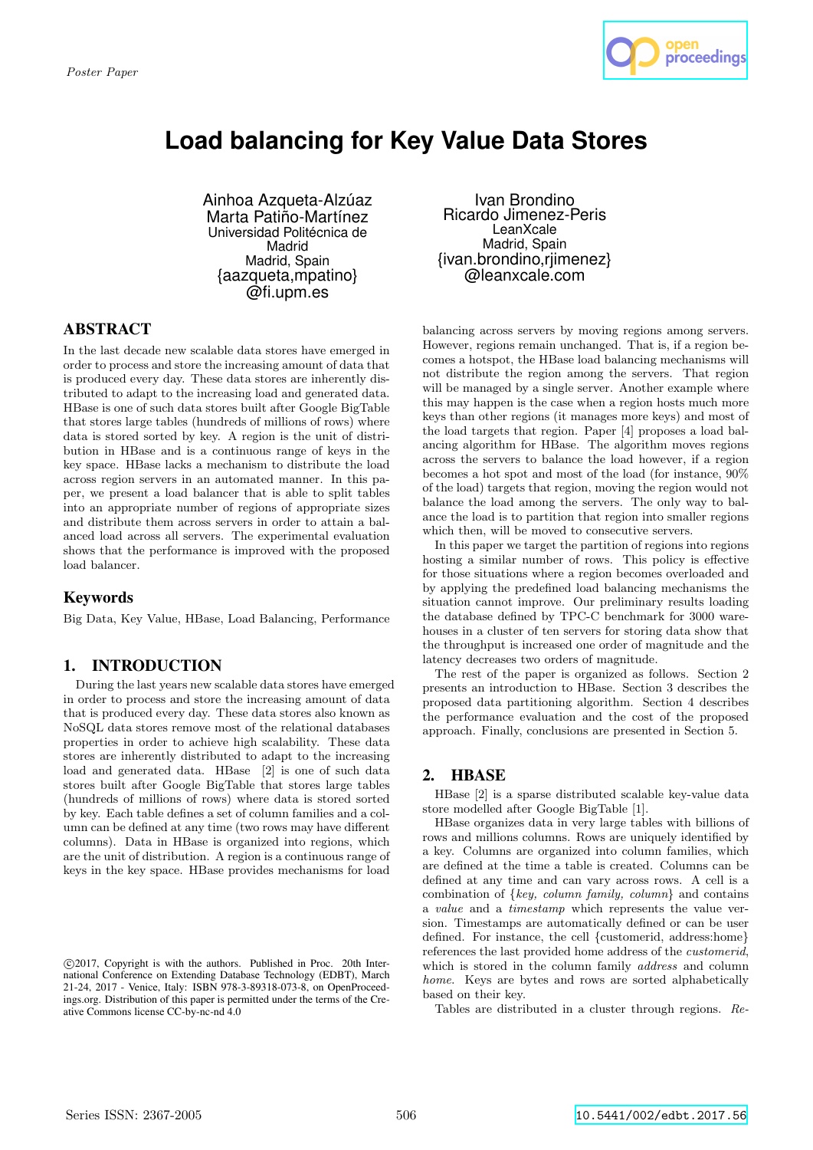

# **Load balancing for Key Value Data Stores**

Ainhoa Azqueta-Alzúaz Marta Patiño-Martínez Universidad Politécnica de Madrid Madrid, Spain {aazqueta,mpatino} @fi.upm.es

# ABSTRACT

In the last decade new scalable data stores have emerged in order to process and store the increasing amount of data that is produced every day. These data stores are inherently distributed to adapt to the increasing load and generated data. HBase is one of such data stores built after Google BigTable that stores large tables (hundreds of millions of rows) where data is stored sorted by key. A region is the unit of distribution in HBase and is a continuous range of keys in the key space. HBase lacks a mechanism to distribute the load across region servers in an automated manner. In this paper, we present a load balancer that is able to split tables into an appropriate number of regions of appropriate sizes and distribute them across servers in order to attain a balanced load across all servers. The experimental evaluation shows that the performance is improved with the proposed load balancer.

# Keywords

Big Data, Key Value, HBase, Load Balancing, Performance

# 1. INTRODUCTION

During the last years new scalable data stores have emerged in order to process and store the increasing amount of data that is produced every day. These data stores also known as NoSQL data stores remove most of the relational databases properties in order to achieve high scalability. These data stores are inherently distributed to adapt to the increasing load and generated data. HBase [2] is one of such data stores built after Google BigTable that stores large tables (hundreds of millions of rows) where data is stored sorted by key. Each table defines a set of column families and a column can be defined at any time (two rows may have different columns). Data in HBase is organized into regions, which are the unit of distribution. A region is a continuous range of keys in the key space. HBase provides mechanisms for load

Ivan Brondino Ricardo Jimenez-Peris **LeanXcale** Madrid, Spain {ivan.brondino,rjimenez} @leanxcale.com

balancing across servers by moving regions among servers. However, regions remain unchanged. That is, if a region becomes a hotspot, the HBase load balancing mechanisms will not distribute the region among the servers. That region will be managed by a single server. Another example where this may happen is the case when a region hosts much more keys than other regions (it manages more keys) and most of the load targets that region. Paper [4] proposes a load balancing algorithm for HBase. The algorithm moves regions across the servers to balance the load however, if a region becomes a hot spot and most of the load (for instance, 90% of the load) targets that region, moving the region would not balance the load among the servers. The only way to balance the load is to partition that region into smaller regions which then, will be moved to consecutive servers.

In this paper we target the partition of regions into regions hosting a similar number of rows. This policy is effective for those situations where a region becomes overloaded and by applying the predefined load balancing mechanisms the situation cannot improve. Our preliminary results loading the database defined by TPC-C benchmark for 3000 warehouses in a cluster of ten servers for storing data show that the throughput is increased one order of magnitude and the latency decreases two orders of magnitude.

The rest of the paper is organized as follows. Section 2 presents an introduction to HBase. Section 3 describes the proposed data partitioning algorithm. Section 4 describes the performance evaluation and the cost of the proposed approach. Finally, conclusions are presented in Section 5.

# 2. HBASE

HBase [2] is a sparse distributed scalable key-value data store modelled after Google BigTable [1].

HBase organizes data in very large tables with billions of rows and millions columns. Rows are uniquely identified by a key. Columns are organized into column families, which are defined at the time a table is created. Columns can be defined at any time and can vary across rows. A cell is a combination of  $\{key, column family, column\}$  and contains a value and a timestamp which represents the value version. Timestamps are automatically defined or can be user defined. For instance, the cell {customerid, address:home} references the last provided home address of the customerid, which is stored in the column family *address* and column home. Keys are bytes and rows are sorted alphabetically based on their key.

Tables are distributed in a cluster through regions. Re-

c 2017, Copyright is with the authors. Published in Proc. 20th International Conference on Extending Database Technology (EDBT), March 21-24, 2017 - Venice, Italy: ISBN 978-3-89318-073-8, on OpenProceedings.org. Distribution of this paper is permitted under the terms of the Creative Commons license CC-by-nc-nd 4.0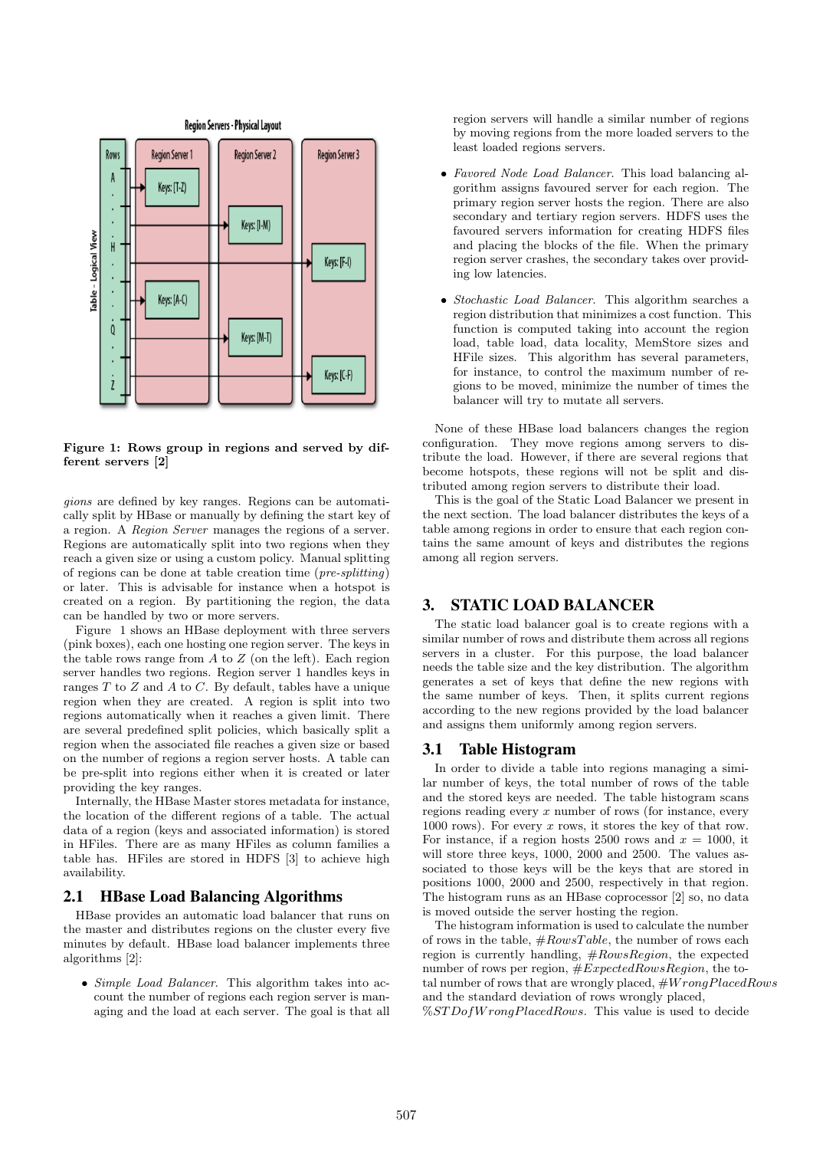

Figure 1: Rows group in regions and served by different servers [2]

gions are defined by key ranges. Regions can be automatically split by HBase or manually by defining the start key of a region. A Region Server manages the regions of a server. Regions are automatically split into two regions when they reach a given size or using a custom policy. Manual splitting of regions can be done at table creation time (pre-splitting) or later. This is advisable for instance when a hotspot is created on a region. By partitioning the region, the data can be handled by two or more servers.

Figure 1 shows an HBase deployment with three servers (pink boxes), each one hosting one region server. The keys in the table rows range from  $A$  to  $Z$  (on the left). Each region server handles two regions. Region server 1 handles keys in ranges T to Z and A to C. By default, tables have a unique region when they are created. A region is split into two regions automatically when it reaches a given limit. There are several predefined split policies, which basically split a region when the associated file reaches a given size or based on the number of regions a region server hosts. A table can be pre-split into regions either when it is created or later providing the key ranges.

Internally, the HBase Master stores metadata for instance, the location of the different regions of a table. The actual data of a region (keys and associated information) is stored in HFiles. There are as many HFiles as column families a table has. HFiles are stored in HDFS [3] to achieve high availability.

### 2.1 HBase Load Balancing Algorithms

HBase provides an automatic load balancer that runs on the master and distributes regions on the cluster every five minutes by default. HBase load balancer implements three algorithms [2]:

• Simple Load Balancer. This algorithm takes into account the number of regions each region server is managing and the load at each server. The goal is that all region servers will handle a similar number of regions by moving regions from the more loaded servers to the least loaded regions servers.

- Favored Node Load Balancer. This load balancing algorithm assigns favoured server for each region. The primary region server hosts the region. There are also secondary and tertiary region servers. HDFS uses the favoured servers information for creating HDFS files and placing the blocks of the file. When the primary region server crashes, the secondary takes over providing low latencies.
- Stochastic Load Balancer. This algorithm searches a region distribution that minimizes a cost function. This function is computed taking into account the region load, table load, data locality, MemStore sizes and HFile sizes. This algorithm has several parameters, for instance, to control the maximum number of regions to be moved, minimize the number of times the balancer will try to mutate all servers.

None of these HBase load balancers changes the region configuration. They move regions among servers to distribute the load. However, if there are several regions that become hotspots, these regions will not be split and distributed among region servers to distribute their load.

This is the goal of the Static Load Balancer we present in the next section. The load balancer distributes the keys of a table among regions in order to ensure that each region contains the same amount of keys and distributes the regions among all region servers.

## 3. STATIC LOAD BALANCER

The static load balancer goal is to create regions with a similar number of rows and distribute them across all regions servers in a cluster. For this purpose, the load balancer needs the table size and the key distribution. The algorithm generates a set of keys that define the new regions with the same number of keys. Then, it splits current regions according to the new regions provided by the load balancer and assigns them uniformly among region servers.

#### 3.1 Table Histogram

In order to divide a table into regions managing a similar number of keys, the total number of rows of the table and the stored keys are needed. The table histogram scans regions reading every  $x$  number of rows (for instance, every 1000 rows). For every  $x$  rows, it stores the key of that row. For instance, if a region hosts 2500 rows and  $x = 1000$ , it will store three keys, 1000, 2000 and 2500. The values associated to those keys will be the keys that are stored in positions 1000, 2000 and 2500, respectively in that region. The histogram runs as an HBase coprocessor [2] so, no data is moved outside the server hosting the region.

The histogram information is used to calculate the number of rows in the table,  $#RowsTable$ , the number of rows each region is currently handling,  $#RowsRegion$ , the expected number of rows per region,  $#ExpectedRowsRegion$ , the total number of rows that are wrongly placed,  $#Wrong PlacedRows$ and the standard deviation of rows wrongly placed,  $\%STDofWronq PlacedRows.$  This value is used to decide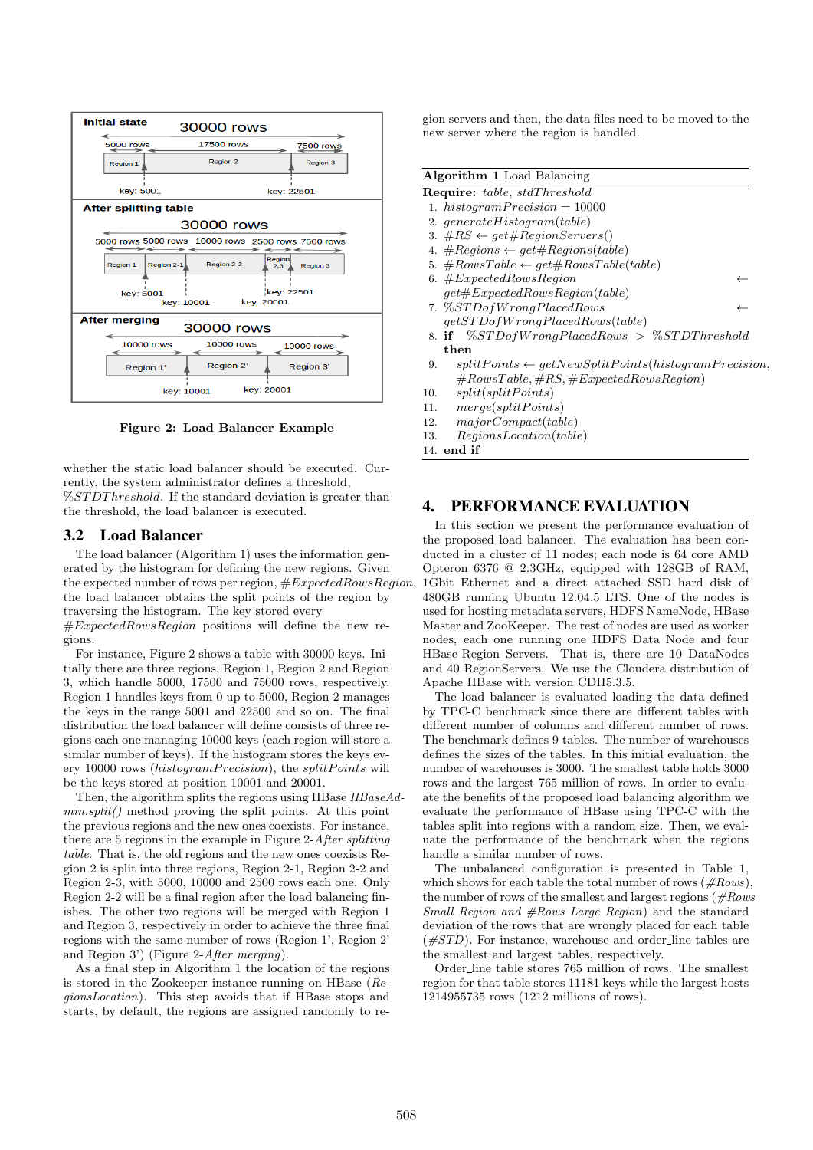

Figure 2: Load Balancer Example

whether the static load balancer should be executed. Currently, the system administrator defines a threshold, %STDThreshold. If the standard deviation is greater than the threshold, the load balancer is executed.

## 3.2 Load Balancer

The load balancer (Algorithm 1) uses the information generated by the histogram for defining the new regions. Given the expected number of rows per region,  $\#ExpectedRowsRegion$ . the load balancer obtains the split points of the region by traversing the histogram. The key stored every

 $\#ExpectedRowsRegion$  positions will define the new regions.

For instance, Figure 2 shows a table with 30000 keys. Initially there are three regions, Region 1, Region 2 and Region 3, which handle 5000, 17500 and 75000 rows, respectively. Region 1 handles keys from 0 up to 5000, Region 2 manages the keys in the range 5001 and 22500 and so on. The final distribution the load balancer will define consists of three regions each one managing 10000 keys (each region will store a similar number of keys). If the histogram stores the keys every 10000 rows (histogramPrecision), the splitPoints will be the keys stored at position 10001 and 20001.

Then, the algorithm splits the regions using HBase HBaseAd $min.split()$  method proving the split points. At this point the previous regions and the new ones coexists. For instance, there are 5 regions in the example in Figure 2-After splitting table. That is, the old regions and the new ones coexists Region 2 is split into three regions, Region 2-1, Region 2-2 and Region 2-3, with 5000, 10000 and 2500 rows each one. Only Region 2-2 will be a final region after the load balancing finishes. The other two regions will be merged with Region 1 and Region 3, respectively in order to achieve the three final regions with the same number of rows (Region 1', Region 2' and Region 3') (Figure 2-After merging).

As a final step in Algorithm 1 the location of the regions is stored in the Zookeeper instance running on HBase (RegionsLocation). This step avoids that if HBase stops and starts, by default, the regions are assigned randomly to region servers and then, the data files need to be moved to the new server where the region is handled.

| <b>Algorithm 1</b> Load Balancing                                     |
|-----------------------------------------------------------------------|
| <b>Require:</b> table, stdThreshold                                   |
| 1. $histogram Precision = 10000$                                      |
| 2. $qenerate Histogram(table)$                                        |
| 3. $\#RS \leftarrow get \#RegionServers()$                            |
| 4. $\# Regions \leftarrow qet \# Regions(table)$                      |
| 5. $\#RowsTable \leftarrow get\#RowsTable(table)$                     |
| 6. $#ExpectedRowsRegion$                                              |
| $qet \#ExpectedRowsRegion(table)$                                     |
| 7. %STDofWrongPlacedRows                                              |
| qetSTDofWronqPlace dRows(table)                                       |
| 8. if $\%STDofWronqPlace dRows > \%STDThreshold$                      |
| then                                                                  |
| $splitPoints \leftarrow qetNewSplitPoints(histogram Precision,$<br>9. |
| $\#RowsTable, \#RS, \#ExpectedRowsRegion)$                            |
| 10. $split(splitPoints)$                                              |
| merge(splitPoints)<br>11.                                             |
| 12. $majorCompact(table)$                                             |
| RegionsLocation(table)<br>13.                                         |
| 14. $end$ if                                                          |

# 4. PERFORMANCE EVALUATION

In this section we present the performance evaluation of the proposed load balancer. The evaluation has been conducted in a cluster of 11 nodes; each node is 64 core AMD Opteron 6376 @ 2.3GHz, equipped with 128GB of RAM, 1Gbit Ethernet and a direct attached SSD hard disk of 480GB running Ubuntu 12.04.5 LTS. One of the nodes is used for hosting metadata servers, HDFS NameNode, HBase Master and ZooKeeper. The rest of nodes are used as worker nodes, each one running one HDFS Data Node and four HBase-Region Servers. That is, there are 10 DataNodes and 40 RegionServers. We use the Cloudera distribution of Apache HBase with version CDH5.3.5.

The load balancer is evaluated loading the data defined by TPC-C benchmark since there are different tables with different number of columns and different number of rows. The benchmark defines 9 tables. The number of warehouses defines the sizes of the tables. In this initial evaluation, the number of warehouses is 3000. The smallest table holds 3000 rows and the largest 765 million of rows. In order to evaluate the benefits of the proposed load balancing algorithm we evaluate the performance of HBase using TPC-C with the tables split into regions with a random size. Then, we evaluate the performance of the benchmark when the regions handle a similar number of rows.

The unbalanced configuration is presented in Table 1, which shows for each table the total number of rows  $(\#Rows)$ , the number of rows of the smallest and largest regions ( $#Rows$ Small Region and  $#Rows$  Large Region) and the standard deviation of the rows that are wrongly placed for each table  $(\#STD)$ . For instance, warehouse and order\_line tables are the smallest and largest tables, respectively.

Order line table stores 765 million of rows. The smallest region for that table stores 11181 keys while the largest hosts 1214955735 rows (1212 millions of rows).